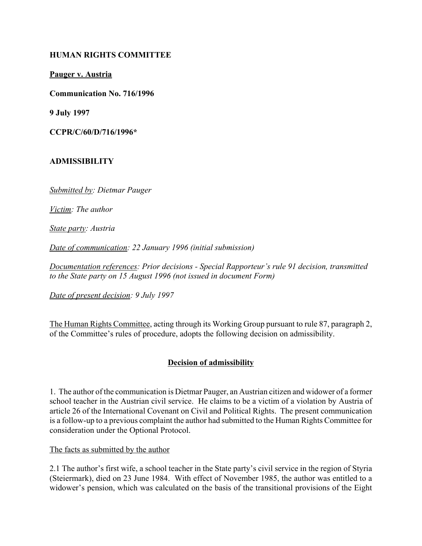# **HUMAN RIGHTS COMMITTEE**

**Pauger v. Austria**

**Communication No. 716/1996**

**9 July 1997**

**CCPR/C/60/D/716/1996\***

### **ADMISSIBILITY**

*Submitted by: Dietmar Pauger*

*Victim: The author*

*State party: Austria*

*Date of communication: 22 January 1996 (initial submission)*

*Documentation references: Prior decisions - Special Rapporteur's rule 91 decision, transmitted to the State party on 15 August 1996 (not issued in document Form)*

*Date of present decision: 9 July 1997*

The Human Rights Committee, acting through its Working Group pursuant to rule 87, paragraph 2, of the Committee's rules of procedure, adopts the following decision on admissibility.

# **Decision of admissibility**

1. The author of the communication is Dietmar Pauger, an Austrian citizen and widower of a former school teacher in the Austrian civil service. He claims to be a victim of a violation by Austria of article 26 of the International Covenant on Civil and Political Rights. The present communication is a follow-up to a previous complaint the author had submitted to the Human Rights Committee for consideration under the Optional Protocol.

The facts as submitted by the author

2.1 The author's first wife, a school teacher in the State party's civil service in the region of Styria (Steiermark), died on 23 June 1984. With effect of November 1985, the author was entitled to a widower's pension, which was calculated on the basis of the transitional provisions of the Eight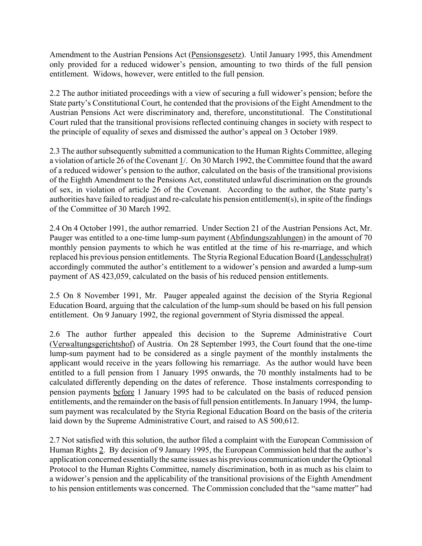Amendment to the Austrian Pensions Act (Pensionsgesetz). Until January 1995, this Amendment only provided for a reduced widower's pension, amounting to two thirds of the full pension entitlement. Widows, however, were entitled to the full pension.

2.2 The author initiated proceedings with a view of securing a full widower's pension; before the State party's Constitutional Court, he contended that the provisions of the Eight Amendment to the Austrian Pensions Act were discriminatory and, therefore, unconstitutional. The Constitutional Court ruled that the transitional provisions reflected continuing changes in society with respect to the principle of equality of sexes and dismissed the author's appeal on 3 October 1989.

2.3 The author subsequently submitted a communication to the Human Rights Committee, alleging a violation of article 26 of the Covenant 1/. On 30 March 1992, the Committee found that the award of a reduced widower's pension to the author, calculated on the basis of the transitional provisions of the Eighth Amendment to the Pensions Act, constituted unlawful discrimination on the grounds of sex, in violation of article 26 of the Covenant. According to the author, the State partyís authorities have failed to readjust and re-calculate his pension entitlement(s), in spite of the findings of the Committee of 30 March 1992.

2.4 On 4 October 1991, the author remarried. Under Section 21 of the Austrian Pensions Act, Mr. Pauger was entitled to a one-time lump-sum payment (Abfindungszahlungen) in the amount of 70 monthly pension payments to which he was entitled at the time of his re-marriage, and which replaced his previous pension entitlements. The Styria Regional Education Board (Landesschulrat) accordingly commuted the author's entitlement to a widower's pension and awarded a lump-sum payment of AS 423,059, calculated on the basis of his reduced pension entitlements.

2.5 On 8 November 1991, Mr. Pauger appealed against the decision of the Styria Regional Education Board, arguing that the calculation of the lump-sum should be based on his full pension entitlement. On 9 January 1992, the regional government of Styria dismissed the appeal.

2.6 The author further appealed this decision to the Supreme Administrative Court (Verwaltungsgerichtshof) of Austria. On 28 September 1993, the Court found that the one-time lump-sum payment had to be considered as a single payment of the monthly instalments the applicant would receive in the years following his remarriage. As the author would have been entitled to a full pension from 1 January 1995 onwards, the 70 monthly instalments had to be calculated differently depending on the dates of reference. Those instalments corresponding to pension payments before 1 January 1995 had to be calculated on the basis of reduced pension entitlements, and the remainder on the basis of full pension entitlements. In January 1994, the lumpsum payment was recalculated by the Styria Regional Education Board on the basis of the criteria laid down by the Supreme Administrative Court, and raised to AS 500,612.

2.7 Not satisfied with this solution, the author filed a complaint with the European Commission of Human Rights 2. By decision of 9 January 1995, the European Commission held that the author's application concerned essentially the same issues as his previous communication under the Optional Protocol to the Human Rights Committee, namely discrimination, both in as much as his claim to a widower's pension and the applicability of the transitional provisions of the Eighth Amendment to his pension entitlements was concerned. The Commission concluded that the "same matter" had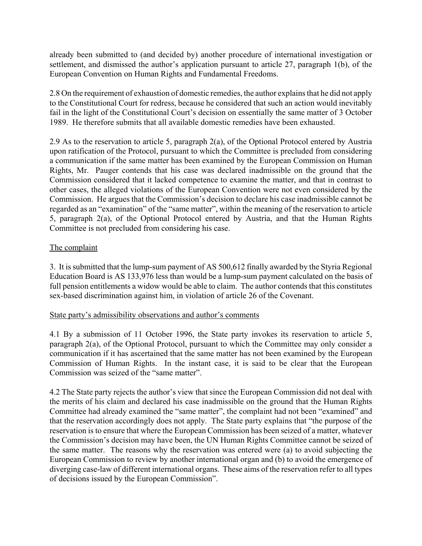already been submitted to (and decided by) another procedure of international investigation or settlement, and dismissed the author's application pursuant to article  $27$ , paragraph 1(b), of the European Convention on Human Rights and Fundamental Freedoms.

2.8 On the requirement of exhaustion of domestic remedies, the author explains that he did not apply to the Constitutional Court for redress, because he considered that such an action would inevitably fail in the light of the Constitutional Court's decision on essentially the same matter of 3 October 1989. He therefore submits that all available domestic remedies have been exhausted.

2.9 As to the reservation to article 5, paragraph 2(a), of the Optional Protocol entered by Austria upon ratification of the Protocol, pursuant to which the Committee is precluded from considering a communication if the same matter has been examined by the European Commission on Human Rights, Mr. Pauger contends that his case was declared inadmissible on the ground that the Commission considered that it lacked competence to examine the matter, and that in contrast to other cases, the alleged violations of the European Convention were not even considered by the Commission. He argues that the Commission's decision to declare his case inadmissible cannot be regarded as an "examination" of the "same matter", within the meaning of the reservation to article 5, paragraph 2(a), of the Optional Protocol entered by Austria, and that the Human Rights Committee is not precluded from considering his case.

# The complaint

3. It is submitted that the lump-sum payment of AS 500,612 finally awarded by the Styria Regional Education Board is AS 133,976 less than would be a lump-sum payment calculated on the basis of full pension entitlements a widow would be able to claim. The author contends that this constitutes sex-based discrimination against him, in violation of article 26 of the Covenant.

# State party's admissibility observations and author's comments

4.1 By a submission of 11 October 1996, the State party invokes its reservation to article 5, paragraph 2(a), of the Optional Protocol, pursuant to which the Committee may only consider a communication if it has ascertained that the same matter has not been examined by the European Commission of Human Rights. In the instant case, it is said to be clear that the European Commission was seized of the "same matter".

4.2 The State party rejects the author's view that since the European Commission did not deal with the merits of his claim and declared his case inadmissible on the ground that the Human Rights Committee had already examined the "same matter", the complaint had not been "examined" and that the reservation accordingly does not apply. The State party explains that "the purpose of the reservation is to ensure that where the European Commission has been seized of a matter, whatever the Commission's decision may have been, the UN Human Rights Committee cannot be seized of the same matter. The reasons why the reservation was entered were (a) to avoid subjecting the European Commission to review by another international organ and (b) to avoid the emergence of diverging case-law of different international organs. These aims of the reservation refer to all types of decisions issued by the European Commissionî.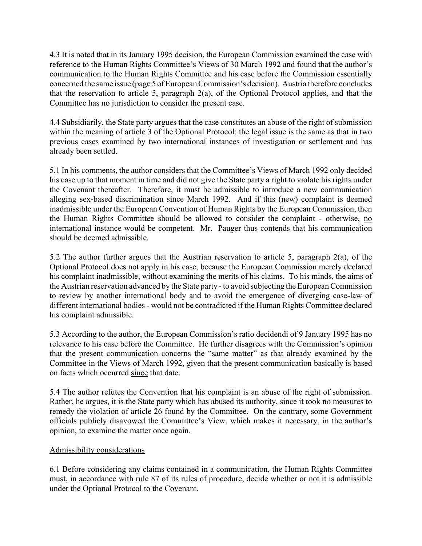4.3 It is noted that in its January 1995 decision, the European Commission examined the case with reference to the Human Rights Committee's Views of 30 March 1992 and found that the author's communication to the Human Rights Committee and his case before the Commission essentially concerned the same issue (page 5 of European Commission's decision). Austria therefore concludes that the reservation to article 5, paragraph 2(a), of the Optional Protocol applies, and that the Committee has no jurisdiction to consider the present case.

4.4 Subsidiarily, the State party argues that the case constitutes an abuse of the right of submission within the meaning of article 3 of the Optional Protocol: the legal issue is the same as that in two previous cases examined by two international instances of investigation or settlement and has already been settled.

5.1 In his comments, the author considers that the Committee's Views of March 1992 only decided his case up to that moment in time and did not give the State party a right to violate his rights under the Covenant thereafter. Therefore, it must be admissible to introduce a new communication alleging sex-based discrimination since March 1992. And if this (new) complaint is deemed inadmissible under the European Convention of Human Rights by the European Commission, then the Human Rights Committee should be allowed to consider the complaint - otherwise, no international instance would be competent. Mr. Pauger thus contends that his communication should be deemed admissible.

5.2 The author further argues that the Austrian reservation to article 5, paragraph 2(a), of the Optional Protocol does not apply in his case, because the European Commission merely declared his complaint inadmissible, without examining the merits of his claims. To his minds, the aims of the Austrian reservation advanced by the State party - to avoid subjecting the European Commission to review by another international body and to avoid the emergence of diverging case-law of different international bodies - would not be contradicted if the Human Rights Committee declared his complaint admissible.

5.3 According to the author, the European Commission's ratio decidendi of 9 January 1995 has no relevance to his case before the Committee. He further disagrees with the Commission's opinion that the present communication concerns the "same matter" as that already examined by the Committee in the Views of March 1992, given that the present communication basically is based on facts which occurred since that date.

5.4 The author refutes the Convention that his complaint is an abuse of the right of submission. Rather, he argues, it is the State party which has abused its authority, since it took no measures to remedy the violation of article 26 found by the Committee. On the contrary, some Government officials publicly disavowed the Committee's View, which makes it necessary, in the author's opinion, to examine the matter once again.

# Admissibility considerations

6.1 Before considering any claims contained in a communication, the Human Rights Committee must, in accordance with rule 87 of its rules of procedure, decide whether or not it is admissible under the Optional Protocol to the Covenant.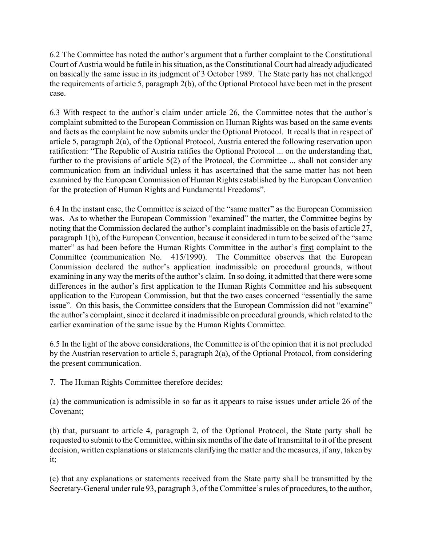6.2 The Committee has noted the author's argument that a further complaint to the Constitutional Court of Austria would be futile in his situation, as the Constitutional Court had already adjudicated on basically the same issue in its judgment of 3 October 1989. The State party has not challenged the requirements of article 5, paragraph 2(b), of the Optional Protocol have been met in the present case.

6.3 With respect to the author's claim under article 26, the Committee notes that the author's complaint submitted to the European Commission on Human Rights was based on the same events and facts as the complaint he now submits under the Optional Protocol. It recalls that in respect of article 5, paragraph 2(a), of the Optional Protocol, Austria entered the following reservation upon ratification: "The Republic of Austria ratifies the Optional Protocol ... on the understanding that, further to the provisions of article 5(2) of the Protocol, the Committee ... shall not consider any communication from an individual unless it has ascertained that the same matter has not been examined by the European Commission of Human Rights established by the European Convention for the protection of Human Rights and Fundamental Freedoms".

6.4 In the instant case, the Committee is seized of the "same matter" as the European Commission was. As to whether the European Commission "examined" the matter, the Committee begins by noting that the Commission declared the author's complaint inadmissible on the basis of article 27, paragraph 1(b), of the European Convention, because it considered in turn to be seized of the "same" matter" as had been before the Human Rights Committee in the author's first complaint to the Committee (communication No. 415/1990). The Committee observes that the European Commission declared the author's application inadmissible on procedural grounds, without examining in any way the merits of the author's claim. In so doing, it admitted that there were some differences in the author's first application to the Human Rights Committee and his subsequent application to the European Commission, but that the two cases concerned "essentially the same issue". On this basis, the Committee considers that the European Commission did not "examine" the author's complaint, since it declared it inadmissible on procedural grounds, which related to the earlier examination of the same issue by the Human Rights Committee.

6.5 In the light of the above considerations, the Committee is of the opinion that it is not precluded by the Austrian reservation to article 5, paragraph 2(a), of the Optional Protocol, from considering the present communication.

7. The Human Rights Committee therefore decides:

(a) the communication is admissible in so far as it appears to raise issues under article 26 of the Covenant;

(b) that, pursuant to article 4, paragraph 2, of the Optional Protocol, the State party shall be requested to submit to the Committee, within six months of the date of transmittal to it of the present decision, written explanations or statements clarifying the matter and the measures, if any, taken by it;

(c) that any explanations or statements received from the State party shall be transmitted by the Secretary-General under rule 93, paragraph 3, of the Committee's rules of procedures, to the author,